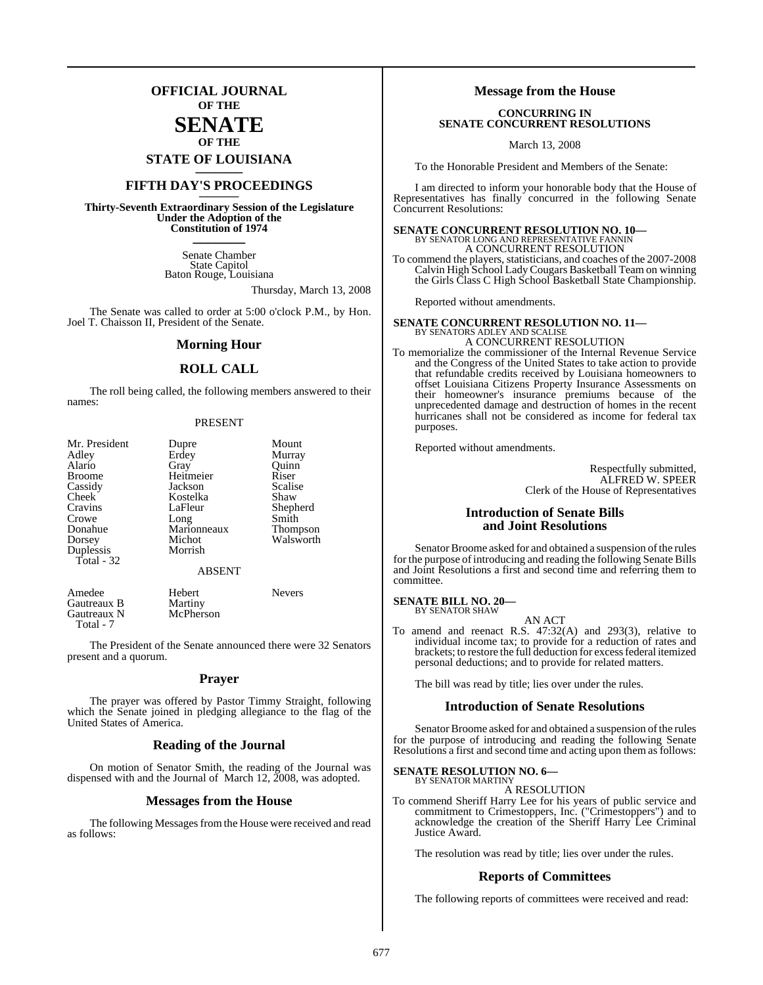## **OFFICIAL JOURNAL OF THE**

## **SENATE OF THE**

**STATE OF LOUISIANA \_\_\_\_\_\_\_**

## **FIFTH DAY'S PROCEEDINGS \_\_\_\_\_\_\_**

**Thirty-Seventh Extraordinary Session of the Legislature Under the Adoption of the Constitution of 1974 \_\_\_\_\_\_\_**

> Senate Chamber State Capitol Baton Rouge, Louisiana

> > Thursday, March 13, 2008

The Senate was called to order at 5:00 o'clock P.M., by Hon. Joel T. Chaisson II, President of the Senate.

#### **Morning Hour**

#### **ROLL CALL**

The roll being called, the following members answered to their names:

#### PRESENT

| Mr. President | Dupre         | Mount           |
|---------------|---------------|-----------------|
| Adley         | Erdey         | Murray          |
| Alario        | Gray          | Ouinn           |
| <b>Broome</b> | Heitmeier     | Riser           |
| Cassidy       | Jackson       | Scalise         |
| Cheek         | Kostelka      | Shaw            |
| Cravins       | LaFleur       | Shepherd        |
| Crowe         | Long          | Smith           |
| Donahue       | Marionneaux   | <b>Thompson</b> |
| Dorsey        | Michot        | Walsworth       |
| Duplessis     | Morrish       |                 |
| Total $-32$   |               |                 |
|               | <b>ABSENT</b> |                 |

| Amedee      | Hebert    | <b>Nevers</b> |
|-------------|-----------|---------------|
| Gautreaux B | Martiny   |               |
| Gautreaux N | McPherson |               |
| Total - 7   |           |               |

The President of the Senate announced there were 32 Senators present and a quorum.

#### **Prayer**

The prayer was offered by Pastor Timmy Straight, following which the Senate joined in pledging allegiance to the flag of the United States of America.

## **Reading of the Journal**

On motion of Senator Smith, the reading of the Journal was dispensed with and the Journal of March 12, 2008, was adopted.

#### **Messages from the House**

The following Messages from the House were received and read as follows:

#### **Message from the House**

#### **CONCURRING IN SENATE CONCURRENT RESOLUTIONS**

March 13, 2008

To the Honorable President and Members of the Senate:

I am directed to inform your honorable body that the House of Representatives has finally concurred in the following Senate Concurrent Resolutions:

#### **SENATE CONCURRENT RESOLUTION NO. 10—** BY SENATOR LONG AND REPRESENTATIVE FANNIN A CONCURRENT RESOLUTION

To commend the players, statisticians, and coaches of the 2007-2008 Calvin High School LadyCougars Basketball Team on winning the Girls Class C High School Basketball State Championship.

Reported without amendments.

## **SENATE CONCURRENT RESOLUTION NO. 11—** BY SENATORS ADLEY AND SCALISE A CONCURRENT RESOLUTION

To memorialize the commissioner of the Internal Revenue Service and the Congress of the United States to take action to provide that refundable credits received by Louisiana homeowners to offset Louisiana Citizens Property Insurance Assessments on their homeowner's insurance premiums because of the unprecedented damage and destruction of homes in the recent hurricanes shall not be considered as income for federal tax purposes.

Reported without amendments.

Respectfully submitted, ALFRED W. SPEER Clerk of the House of Representatives

#### **Introduction of Senate Bills and Joint Resolutions**

Senator Broome asked for and obtained a suspension of the rules for the purpose of introducing and reading the following Senate Bills and Joint Resolutions a first and second time and referring them to committee.

**SENATE BILL NO. 20—** BY SENATOR SHAW

AN ACT

To amend and reenact R.S. 47:32(A) and 293(3), relative to individual income tax; to provide for a reduction of rates and brackets; to restore the full deduction for excess federal itemized personal deductions; and to provide for related matters.

The bill was read by title; lies over under the rules.

#### **Introduction of Senate Resolutions**

Senator Broome asked for and obtained a suspension of the rules for the purpose of introducing and reading the following Senate Resolutions a first and second time and acting upon them as follows:

#### **SENATE RESOLUTION NO. 6—** BY SENATOR MARTINY

A RESOLUTION

To commend Sheriff Harry Lee for his years of public service and commitment to Crimestoppers, Inc. ("Crimestoppers") and to acknowledge the creation of the Sheriff Harry Lee Criminal Justice Award.

The resolution was read by title; lies over under the rules.

#### **Reports of Committees**

The following reports of committees were received and read: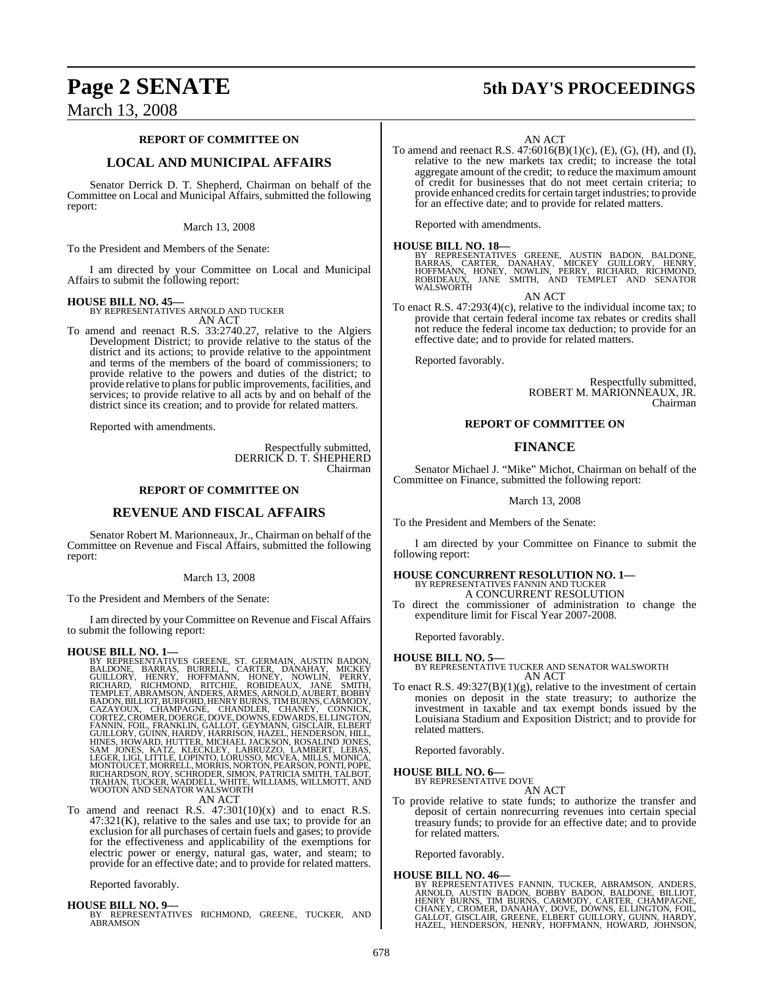## March 13, 2008

#### **REPORT OF COMMITTEE ON**

## **LOCAL AND MUNICIPAL AFFAIRS**

Senator Derrick D. T. Shepherd, Chairman on behalf of the Committee on Local and Municipal Affairs, submitted the following report:

#### March 13, 2008

To the President and Members of the Senate:

I am directed by your Committee on Local and Municipal Affairs to submit the following report:

#### **HOUSE BILL NO. 45—**

BY REPRESENTATIVES ARNOLD AND TUCKER AN ACT

To amend and reenact R.S. 33:2740.27, relative to the Algiers Development District; to provide relative to the status of the district and its actions; to provide relative to the appointment and terms of the members of the board of commissioners; to provide relative to the powers and duties of the district; to provide relative to plans for public improvements, facilities, and services; to provide relative to all acts by and on behalf of the district since its creation; and to provide for related matters.

Reported with amendments.

Respectfully submitted, DERRICK D. T. SHEPHERD Chairman

#### **REPORT OF COMMITTEE ON**

#### **REVENUE AND FISCAL AFFAIRS**

Senator Robert M. Marionneaux, Jr., Chairman on behalf of the Committee on Revenue and Fiscal Affairs, submitted the following report:

#### March 13, 2008

To the President and Members of the Senate:

I am directed by your Committee on Revenue and Fiscal Affairs to submit the following report:

#### **HOUSE BILL NO. 1—**

BY REPRESENTATIVES GREENE, ST. GERMAIN, AUSTIN BADON, BALDONE, BARRAS, BURRELL, CARTER, DANAHAY, MICKEY, SURGULILORY, HENRY, HOFFMANN, HONEY, NOWLIN, PERRY,<br>RICHARD, RICHMOND, RITCHIE, ROBIDEAUX, JANÉ SMITH, TEMPLET, ABRAM

To amend and reenact R.S.  $47:301(10)(x)$  and to enact R.S.  $47:321(K)$ , relative to the sales and use tax; to provide for an exclusion for all purchases of certain fuels and gases; to provide for the effectiveness and applicability of the exemptions for electric power or energy, natural gas, water, and steam; to provide for an effective date; and to provide for related matters.

Reported favorably.

**HOUSE BILL NO. 9—** BY REPRESENTATIVES RICHMOND, GREENE, TUCKER, AND ABRAMSON

# **Page 2 SENATE 5th DAY'S PROCEEDINGS**

AN ACT

To amend and reenact R.S. 47:6016(B)(1)(c), (E), (G), (H), and (I), relative to the new markets tax credit; to increase the total aggregate amount of the credit; to reduce the maximum amount of credit for businesses that do not meet certain criteria; to provide enhanced credits for certain target industries; to provide for an effective date; and to provide for related matters.

Reported with amendments.

#### **HOUSE BILL NO. 18—**

BY REPRESENTATIVES GREENE, AUSTIN BADON, BALDONE,<br>BARRAS, CARTER, DANAHAY, MICKEY GUILLORY, HENRY,<br>HOFFMANN, HONEY, NOWLIN, PERRY, RICHARD, RICHMOND,<br>ROBIDEAUX, JANE SMITH, AND TEMPLET AND SENATOR WALSWORTH

AN ACT

To enact R.S. 47:293(4)(c), relative to the individual income tax; to provide that certain federal income tax rebates or credits shall not reduce the federal income tax deduction; to provide for an effective date; and to provide for related matters.

Reported favorably.

Respectfully submitted, ROBERT M. MARIONNEAUX, JR. Chairman

#### **REPORT OF COMMITTEE ON**

## **FINANCE**

Senator Michael J. "Mike" Michot, Chairman on behalf of the Committee on Finance, submitted the following report:

March 13, 2008

To the President and Members of the Senate:

I am directed by your Committee on Finance to submit the following report:

#### **HOUSE CONCURRENT RESOLUTION NO. 1—** BY REPRESENTATIVES FANNIN AND TUCKER A CONCURRENT RESOLUTION

To direct the commissioner of administration to change the expenditure limit for Fiscal Year 2007-2008.

Reported favorably.

#### **HOUSE BILL NO. 5—**

BY REPRESENTATIVE TUCKER AND SENATOR WALSWORTH AN ACT

To enact R.S. 49:327(B)(1)(g), relative to the investment of certain monies on deposit in the state treasury; to authorize the investment in taxable and tax exempt bonds issued by the Louisiana Stadium and Exposition District; and to provide for related matters.

Reported favorably.

## **HOUSE BILL NO. 6—**

BY REPRESENTATIVE DOVE AN ACT

To provide relative to state funds; to authorize the transfer and deposit of certain nonrecurring revenues into certain special treasury funds; to provide for an effective date; and to provide for related matters.

Reported favorably.

#### **HOUSE BILL NO. 46—**

BY REPRESENTATIVES FANNIN, TUCKER, ABRAMSON, ANDERS,<br>ARNOLD, AUSTIN BADON, BOBBY BADON, BALDONE, BILLIOT,<br>HENRY BURNS, TIM BURNS, CARMODY, CARTER, CHÁMPAGNE,<br>CHANEY, CROMER, DANAHAY, DOVE, DOWNS, ELLINGTON, FOIL,<br>GALLOT, G HAZEL, HENDERSON, HENRY, HOFFMANN, HOWARD, JOHNSON,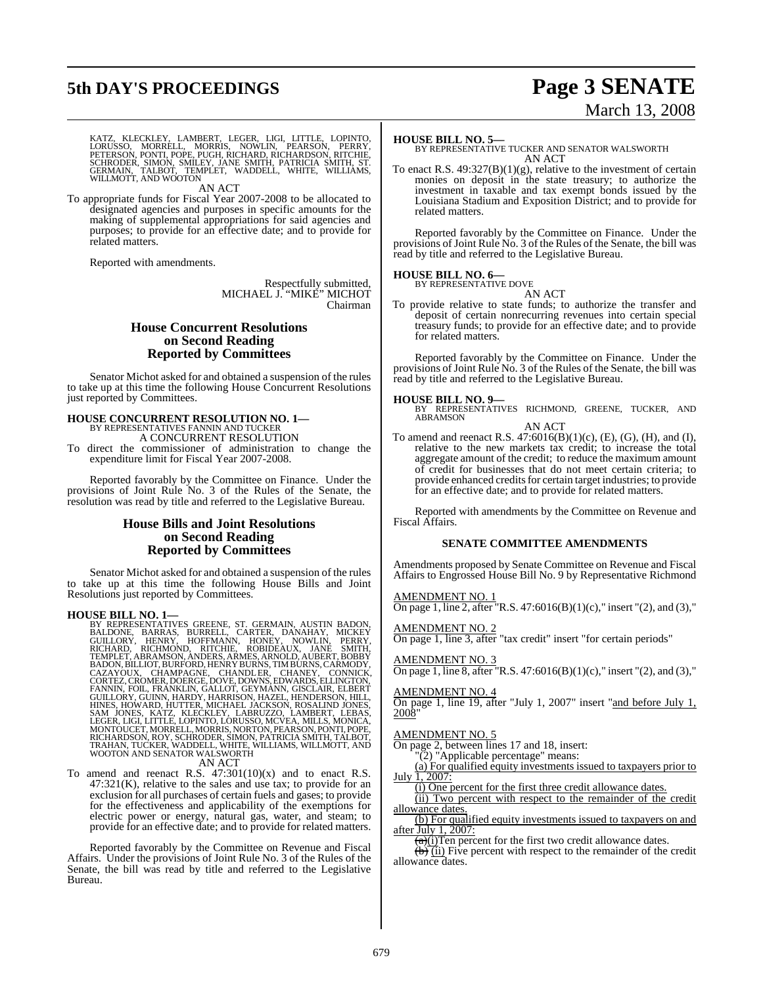# **5th DAY'S PROCEEDINGS Page 3 SENATE**

# March 13, 2008

KATZ, KLECKLEY, LAMBERT, LEGER, LIGI, LITTLE, LOPINTO,<br>LORUSSO, MORRELL, MORRIS, NOWLIN, PEARSON, PERRY,<br>PETERSON, PONTI, POPE, PUGH, RICHARD, RICHARDSON, RITCHIE,<br>SCHRODER, SIMON, SMILEY, JANE SMITH, PATRICIA SMITH, ST.<br>G

AN ACT

To appropriate funds for Fiscal Year 2007-2008 to be allocated to designated agencies and purposes in specific amounts for the making of supplemental appropriations for said agencies and purposes; to provide for an effective date; and to provide for related matters.

Reported with amendments.

Respectfully submitted, MICHAEL J. "MIKE" MICHOT Chairman

#### **House Concurrent Resolutions on Second Reading Reported by Committees**

Senator Michot asked for and obtained a suspension of the rules to take up at this time the following House Concurrent Resolutions just reported by Committees.

# **HOUSE CONCURRENT RESOLUTION NO. 1—** BY REPRESENTATIVES FANNIN AND TUCKER A CONCURRENT RESOLUTION

To direct the commissioner of administration to change the expenditure limit for Fiscal Year 2007-2008.

Reported favorably by the Committee on Finance. Under the provisions of Joint Rule No. 3 of the Rules of the Senate, the resolution was read by title and referred to the Legislative Bureau.

## **House Bills and Joint Resolutions on Second Reading Reported by Committees**

Senator Michot asked for and obtained a suspension of the rules to take up at this time the following House Bills and Joint Resolutions just reported by Committees.

HOUSE BILL NO. 1—<br>
BY REPRESENTATIVES GREENE, ST. GERMAIN, AUSTIN BADON,<br>
BALDONE, BARRAS, BURRELL, CARTER, DANAHAY, MICKEY<br>
GUILLORY, HENRY, HOFFMANN, HONEY, NOWLIN, PERRY,<br>
RICHARD, RICHMOND, RITCHIE, ROBIDEAUX, JANE SMI

To amend and reenact R.S. 47:301(10)(x) and to enact R.S.  $47:321(K)$ , relative to the sales and use tax; to provide for an exclusion for all purchases of certain fuels and gases; to provide for the effectiveness and applicability of the exemptions for electric power or energy, natural gas, water, and steam; to provide for an effective date; and to provide for related matters.

Reported favorably by the Committee on Revenue and Fiscal Affairs. Under the provisions of Joint Rule No. 3 of the Rules of the Senate, the bill was read by title and referred to the Legislative Bureau.

#### **HOUSE BILL NO. 5—**

BY REPRESENTATIVE TUCKER AND SENATOR WALSWORTH AN ACT

To enact R.S. 49:327(B)(1)(g), relative to the investment of certain monies on deposit in the state treasury; to authorize the investment in taxable and tax exempt bonds issued by the Louisiana Stadium and Exposition District; and to provide for related matters.

Reported favorably by the Committee on Finance. Under the provisions of Joint Rule No. 3 of the Rules of the Senate, the bill was read by title and referred to the Legislative Bureau.

## **HOUSE BILL NO. 6—** BY REPRESENTATIVE DOVE



To provide relative to state funds; to authorize the transfer and deposit of certain nonrecurring revenues into certain special treasury funds; to provide for an effective date; and to provide for related matters.

Reported favorably by the Committee on Finance. Under the provisions of Joint Rule No. 3 of the Rules of the Senate, the bill was read by title and referred to the Legislative Bureau.

#### **HOUSE BILL NO. 9—**

BY REPRESENTATIVES RICHMOND, GREENE, TUCKER, AND ABRAMSON AN ACT

To amend and reenact R.S.  $47:6016(B)(1)(c)$ , (E), (G), (H), and (I), relative to the new markets tax credit; to increase the total aggregate amount of the credit; to reduce the maximum amount of credit for businesses that do not meet certain criteria; to provide enhanced credits for certain target industries; to provide for an effective date; and to provide for related matters.

Reported with amendments by the Committee on Revenue and Fiscal Affairs.

#### **SENATE COMMITTEE AMENDMENTS**

Amendments proposed by Senate Committee on Revenue and Fiscal Affairs to Engrossed House Bill No. 9 by Representative Richmond

#### AMENDMENT NO. 1

On page 1, line 2, after "R.S.  $47:6016(B)(1)(c)$ ," insert "(2), and (3),"

#### AMENDMENT NO. 2

On page 1, line 3, after "tax credit" insert "for certain periods"

#### AMENDMENT NO. 3

On page 1, line 8, after "R.S.  $47:6016(B)(1)(c)$ ," insert "(2), and (3),"

#### AMENDMENT NO. 4

On page 1, line 19, after "July 1, 2007" insert "and before July 1, 2008"

#### AMENDMENT NO. 5

On page 2, between lines 17 and 18, insert:

"(2) "Applicable percentage" means:

(a) For qualified equity investments issued to taxpayers prior to July 1, 2007:

(i) One percent for the first three credit allowance dates.

(ii) Two percent with respect to the remainder of the credit allowance dates.

(b) For qualified equity investments issued to taxpayers on and after July 1,  $2007$ :

 $\frac{1}{(a)(i)}$ Ten percent for the first two credit allowance dates.  $(b)$  (ii) Five percent with respect to the remainder of the credit allowance dates.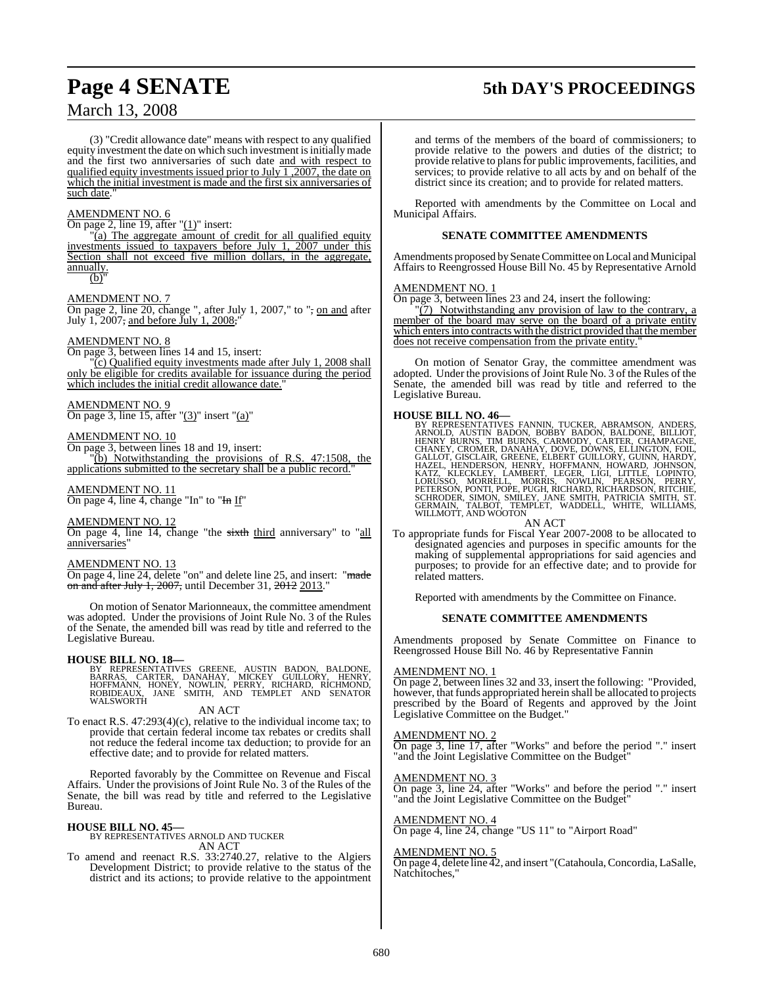# March 13, 2008

# **Page 4 SENATE 5th DAY'S PROCEEDINGS**

(3) "Credit allowance date" means with respect to any qualified equity investment the date on which such investment is initially made and the first two anniversaries of such date and with respect to qualified equity investments issued prior to July  $\overline{1,2007}$ , the date on which the initial investment is made and the first six anniversaries of such date.

#### AMENDMENT NO. 6

On page 2, line 19, after " $(1)$ " insert:

 $\overline{a}$ ) The aggregate amount of credit for all qualified equity investments issued to taxpayers before July 1, 2007 under this Section shall not exceed five million dollars, in the aggregate, annually.

#### $(b)$

#### AMENDMENT NO. 7

On page 2, line 20, change ", after July 1, 2007," to "<del>,</del> on and after July 1, 2007<del>,</del> and before July 1, 2008,"

#### AMENDMENT NO. 8

On page 3, between lines 14 and 15, insert: (c) Qualified equity investments made after July 1, 2008 shall only be eligible for credits available for issuance during the period which includes the initial credit allowance date.

#### AMENDMENT NO. 9

On page 3, line 15, after " $(3)$ " insert " $(a)$ "

#### AMENDMENT NO. 10

On page 3, between lines 18 and 19, insert:

"(b) Notwithstanding the provisions of R.S. 47:1508, the applications submitted to the secretary shall be a public record.

#### AMENDMENT NO. 11

On page 4, line 4, change "In" to "In If"

#### AMENDMENT NO. 12

On page 4, line 14, change "the sixth third anniversary" to "all anniversaries

#### AMENDMENT NO. 13

On page 4, line 24, delete "on" and delete line 25, and insert: "made on and after July 1, 2007, until December 31,  $2012$  2013.

On motion of Senator Marionneaux, the committee amendment was adopted. Under the provisions of Joint Rule No. 3 of the Rules of the Senate, the amended bill was read by title and referred to the Legislative Bureau.

#### **HOUSE BILL NO. 18—**

BY REPRESENTATIVES GREENE, AUSTIN BADON, BALDONE,<br>BARRAS, CARTER, DANAHAY, MICKEY GUILLORY, HENRY,<br>HOFFMANN, HONEY, NOWLIN, PERRY, RICHARD, RICHMOND,<br>ROBIDEAUX, JANE SMITH, AND TEMPLET AND SENATOR<br>WALSWORTH

#### AN ACT

To enact R.S. 47:293(4)(c), relative to the individual income tax; to provide that certain federal income tax rebates or credits shall not reduce the federal income tax deduction; to provide for an effective date; and to provide for related matters.

Reported favorably by the Committee on Revenue and Fiscal Affairs. Under the provisions of Joint Rule No. 3 of the Rules of the Senate, the bill was read by title and referred to the Legislative Bureau.

#### **HOUSE BILL NO. 45—**

BY REPRESENTATIVES ARNOLD AND TUCKER AN ACT

To amend and reenact R.S. 33:2740.27, relative to the Algiers Development District; to provide relative to the status of the district and its actions; to provide relative to the appointment

and terms of the members of the board of commissioners; to provide relative to the powers and duties of the district; to provide relative to plansfor public improvements, facilities, and services; to provide relative to all acts by and on behalf of the district since its creation; and to provide for related matters.

Reported with amendments by the Committee on Local and Municipal Affairs.

#### **SENATE COMMITTEE AMENDMENTS**

Amendments proposed by Senate Committee on Local and Municipal Affairs to Reengrossed House Bill No. 45 by Representative Arnold

#### AMENDMENT NO. 1

On page 3, between lines 23 and 24, insert the following:

"(7) Notwithstanding any provision of law to the contrary, a member of the board may serve on the board of a private entity which enters into contracts with the district provided that the member does not receive compensation from the private entity."

On motion of Senator Gray, the committee amendment was adopted. Under the provisions of Joint Rule No. 3 of the Rules of the Senate, the amended bill was read by title and referred to the Legislative Bureau.

HOUSE BILL NO. 46—<br>BY REPRESENTATIVES FANNIN, TUCKER, ABRAMSON, ANDERS, RRNOLD, AUSTIN BADON, BOBBY BADON, BALDONE, BILLIOT, HENRY BURNS, TIM BURNS, CARMODY, CARTER, CHAMPAGNE,<br>CHANEY, CROMER, DANAHAY, DOVE, DOWNS, ELLINGT

AN ACT

To appropriate funds for Fiscal Year 2007-2008 to be allocated to designated agencies and purposes in specific amounts for the making of supplemental appropriations for said agencies and purposes; to provide for an effective date; and to provide for related matters.

Reported with amendments by the Committee on Finance.

#### **SENATE COMMITTEE AMENDMENTS**

Amendments proposed by Senate Committee on Finance to Reengrossed House Bill No. 46 by Representative Fannin

#### AMENDMENT NO. 1

On page 2, between lines 32 and 33, insert the following: "Provided, however, that funds appropriated herein shall be allocated to projects prescribed by the Board of Regents and approved by the Joint Legislative Committee on the Budget."

#### AMENDMENT NO.

On page 3, line 17, after "Works" and before the period "." insert "and the Joint Legislative Committee on the Budget"

#### AMENDMENT NO. 3

On page 3, line 24, after "Works" and before the period "." insert "and the Joint Legislative Committee on the Budget"

## AMENDMENT NO. 4

On page 4, line 24, change "US 11" to "Airport Road"

#### AMENDMENT NO. 5

On page 4, delete line 42, and insert "(Catahoula, Concordia, LaSalle, Natchitoches,"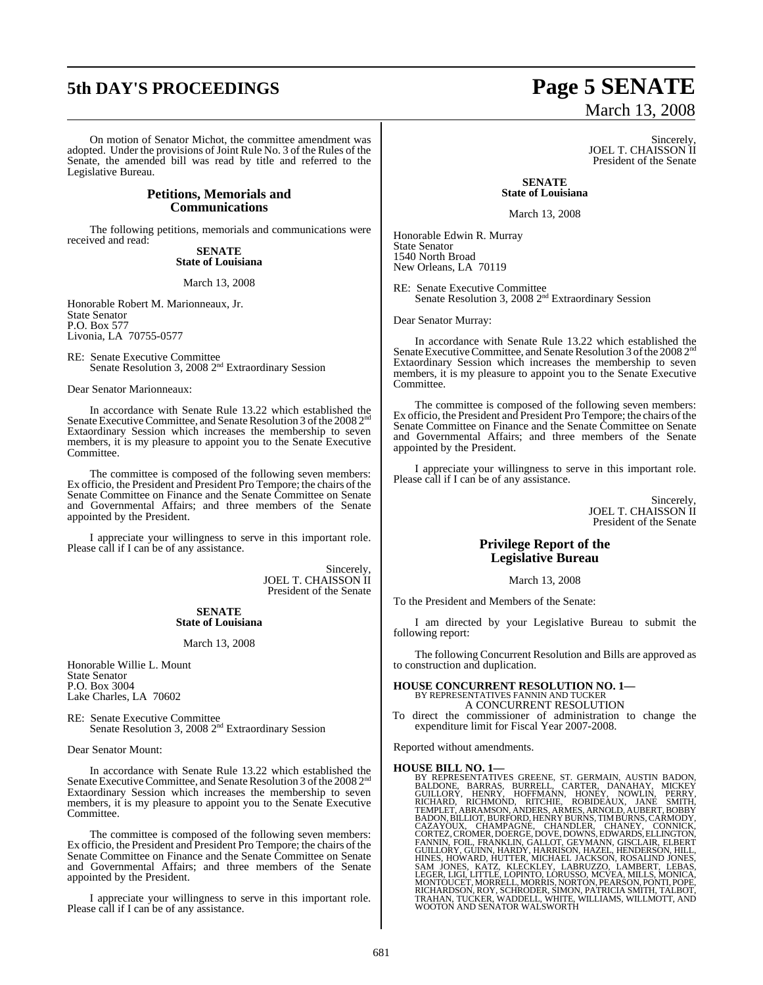# **5th DAY'S PROCEEDINGS Page 5 SENATE**

On motion of Senator Michot, the committee amendment was adopted. Under the provisions of Joint Rule No. 3 of the Rules of the Senate, the amended bill was read by title and referred to the Legislative Bureau.

#### **Petitions, Memorials and Communications**

The following petitions, memorials and communications were received and read:

**SENATE State of Louisiana**

March 13, 2008

Honorable Robert M. Marionneaux, Jr. State Senator P.O. Box 577 Livonia, LA 70755-0577

RE: Senate Executive Committee<br>Senate Resolution 3, 2008 2<sup>nd</sup> Extraordinary Session

Dear Senator Marionneaux:

In accordance with Senate Rule 13.22 which established the Senate Executive Committee, and Senate Resolution 3 of the 2008 2<sup>nd</sup> Extaordinary Session which increases the membership to seven members, it is my pleasure to appoint you to the Senate Executive Committee.

The committee is composed of the following seven members: Ex officio, the President and President Pro Tempore; the chairs of the Senate Committee on Finance and the Senate Committee on Senate and Governmental Affairs; and three members of the Senate appointed by the President.

I appreciate your willingness to serve in this important role. Please call if I can be of any assistance.

> Sincerely, JOEL T. CHAISSON II President of the Senate

#### **SENATE State of Louisiana**

March 13, 2008

Honorable Willie L. Mount State Senator P.O. Box 3004 Lake Charles, LA 70602

RE: Senate Executive Committee<br>Senate Resolution 3, 2008 2<sup>nd</sup> Extraordinary Session

Dear Senator Mount:

In accordance with Senate Rule 13.22 which established the Senate Executive Committee, and Senate Resolution 3 of the 2008 2<sup>nd</sup> Extaordinary Session which increases the membership to seven members, it is my pleasure to appoint you to the Senate Executive Committee.

The committee is composed of the following seven members: Ex officio, the President and President Pro Tempore; the chairs of the Senate Committee on Finance and the Senate Committee on Senate and Governmental Affairs; and three members of the Senate appointed by the President.

I appreciate your willingness to serve in this important role. Please call if I can be of any assistance.

# March 13, 2008

Sincerely, JOEL T. CHAISSON II President of the Senate

**SENATE State of Louisiana**

March 13, 2008

Honorable Edwin R. Murray State Senator 1540 North Broad New Orleans, LA 70119

RE: Senate Executive Committee<br>Senate Resolution 3, 2008 2<sup>nd</sup> Extraordinary Session

Dear Senator Murray:

In accordance with Senate Rule 13.22 which established the Senate Executive Committee, and Senate Resolution 3 of the 2008 2<sup>nd</sup> Extaordinary Session which increases the membership to seven members, it is my pleasure to appoint you to the Senate Executive Committee.

The committee is composed of the following seven members: Ex officio, the President and President Pro Tempore; the chairs of the Senate Committee on Finance and the Senate Committee on Senate and Governmental Affairs; and three members of the Senate appointed by the President.

I appreciate your willingness to serve in this important role. Please call if I can be of any assistance.

> Sincerely, JOEL T. CHAISSON II President of the Senate

## **Privilege Report of the Legislative Bureau**

March 13, 2008

To the President and Members of the Senate:

I am directed by your Legislative Bureau to submit the following report:

The following Concurrent Resolution and Bills are approved as to construction and duplication.

**HOUSE CONCURRENT RESOLUTION NO. 1—** BY REPRESENTATIVES FANNIN AND TUCKER A CONCURRENT RESOLUTION

To direct the commissioner of administration to change the expenditure limit for Fiscal Year 2007-2008.

Reported without amendments.

HOUSE BILL NO. 1—<br>BY REPRESENTATIVES GREENE, ST. GERMAIN, AUSTIN BADON,<br>BALDONE, BARRAS, BURRELL, CARTER, DANAHAY, MICKEY<br>GUILLORY, HENRY, HOFFMANN, HONEY, NOWLIN, PERRY,<br>RICHARD, RICHMOND, RITCHIE, ROBIDEAUX, JANE SMITH,<br> RICHARDSON, ROY, SCHRODER, SIMON, PATRICIA SMITH, TALBOT,<br>TRAHAN, TUCKER, WADDELL, WHITE, WILLIAMS, WILLMOTT, AND<br>WOOTON AND SENATOR WALSWORTH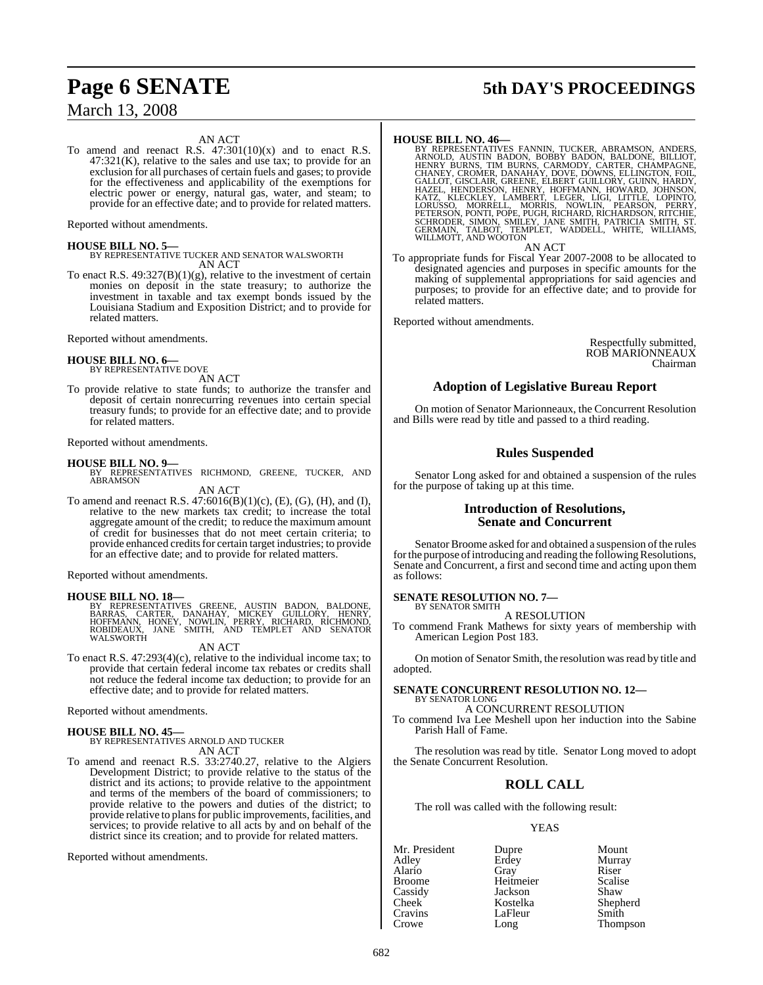# March 13, 2008

#### AN ACT

To amend and reenact R.S.  $47:301(10)(x)$  and to enact R.S. 47:321(K), relative to the sales and use tax; to provide for an exclusion for all purchases of certain fuels and gases; to provide for the effectiveness and applicability of the exemptions for electric power or energy, natural gas, water, and steam; to provide for an effective date; and to provide for related matters.

Reported without amendments.

#### **HOUSE BILL NO. 5—**

BY REPRESENTATIVE TUCKER AND SENATOR WALSWORTH AN ACT

To enact R.S.  $49:327(B)(1)(g)$ , relative to the investment of certain monies on deposit in the state treasury; to authorize the investment in taxable and tax exempt bonds issued by the Louisiana Stadium and Exposition District; and to provide for related matters.

Reported without amendments.

# **HOUSE BILL NO. 6—** BY REPRESENTATIVE DOVE

AN ACT

To provide relative to state funds; to authorize the transfer and deposit of certain nonrecurring revenues into certain special treasury funds; to provide for an effective date; and to provide for related matters.

#### Reported without amendments.

**HOUSE BILL NO. 9—** BY REPRESENTATIVES RICHMOND, GREENE, TUCKER, AND ABRAMSON AN ACT

To amend and reenact R.S. 47:6016(B)(1)(c), (E), (G), (H), and (I), relative to the new markets tax credit; to increase the total aggregate amount of the credit; to reduce the maximum amount of credit for businesses that do not meet certain criteria; to provide enhanced credits for certain target industries; to provide for an effective date; and to provide for related matters.

Reported without amendments.

**HOUSE BILL NO. 18—**<br>BY REPRESENTATIVES GREENE, AUSTIN BADON, BALDONE,<br>BARRAS, CARTER, DANAHAY, MICKEY GUILLORY, HENRY,<br>HOFFMANN, HONEY, NOWLIN, PERRY, RICHARD, RICHMOND,<br>ROBIDEAUX, JANE SMITH, AND TEMPLET AND SENATOR<br>WALS

AN ACT

To enact R.S. 47:293(4)(c), relative to the individual income tax; to provide that certain federal income tax rebates or credits shall not reduce the federal income tax deduction; to provide for an effective date; and to provide for related matters.

Reported without amendments.

## **HOUSE BILL NO. 45—**

#### BY REPRESENTATIVES ARNOLD AND TUCKER AN ACT

To amend and reenact R.S. 33:2740.27, relative to the Algiers Development District; to provide relative to the status of the district and its actions; to provide relative to the appointment and terms of the members of the board of commissioners; to provide relative to the powers and duties of the district; to provide relative to plans for public improvements, facilities, and services; to provide relative to all acts by and on behalf of the district since its creation; and to provide for related matters.

Reported without amendments.

# **Page 6 SENATE 5th DAY'S PROCEEDINGS**

HOUSE BILL NO. 46—<br>BY REPRESENTATIVES FANNIN, TUCKER, ABRAMSON, ANDERS, REPRESENTATIVES FANNIN, BOBBY BADON, BALDONE, BILLIOT,<br>HENRY BURNS, TIM BURNS, CARMODY, CARTER, CHAMPAGNE,<br>CHANEY, CROMER, DANAHAY, DOVE, DOWNS, ELLIN

AN ACT

To appropriate funds for Fiscal Year 2007-2008 to be allocated to designated agencies and purposes in specific amounts for the making of supplemental appropriations for said agencies and purposes; to provide for an effective date; and to provide for related matters.

Reported without amendments.

Respectfully submitted, ROB MARIONNEAUX Chairman

#### **Adoption of Legislative Bureau Report**

On motion of Senator Marionneaux, the Concurrent Resolution and Bills were read by title and passed to a third reading.

## **Rules Suspended**

Senator Long asked for and obtained a suspension of the rules for the purpose of taking up at this time.

#### **Introduction of Resolutions, Senate and Concurrent**

Senator Broome asked for and obtained a suspension of the rules for the purpose of introducing and reading the following Resolutions, Senate and Concurrent, a first and second time and acting upon them as follows:

#### **SENATE RESOLUTION NO. 7—** BY SENATOR SMITH

A RESOLUTION

To commend Frank Mathews for sixty years of membership with American Legion Post 183.

On motion of Senator Smith, the resolution was read by title and adopted.

#### **SENATE CONCURRENT RESOLUTION NO. 12—** BY SENATOR LONG

A CONCURRENT RESOLUTION

To commend Iva Lee Meshell upon her induction into the Sabine Parish Hall of Fame.

The resolution was read by title. Senator Long moved to adopt the Senate Concurrent Resolution.

## **ROLL CALL**

The roll was called with the following result:

#### YEAS

Cassidy Jackson<br>Cheek Kostelka Cravins LaFleur<br>Crowe Long

Mr. President Dupre Mount<br>Adley Erdey Murra Alario Gray Riser Broome Heitmeier Scalise<br>Cassidy Jackson Shaw Cheek Kostelka Shepherd<br>Cravins LaFleur Smith Long Thompson

Murray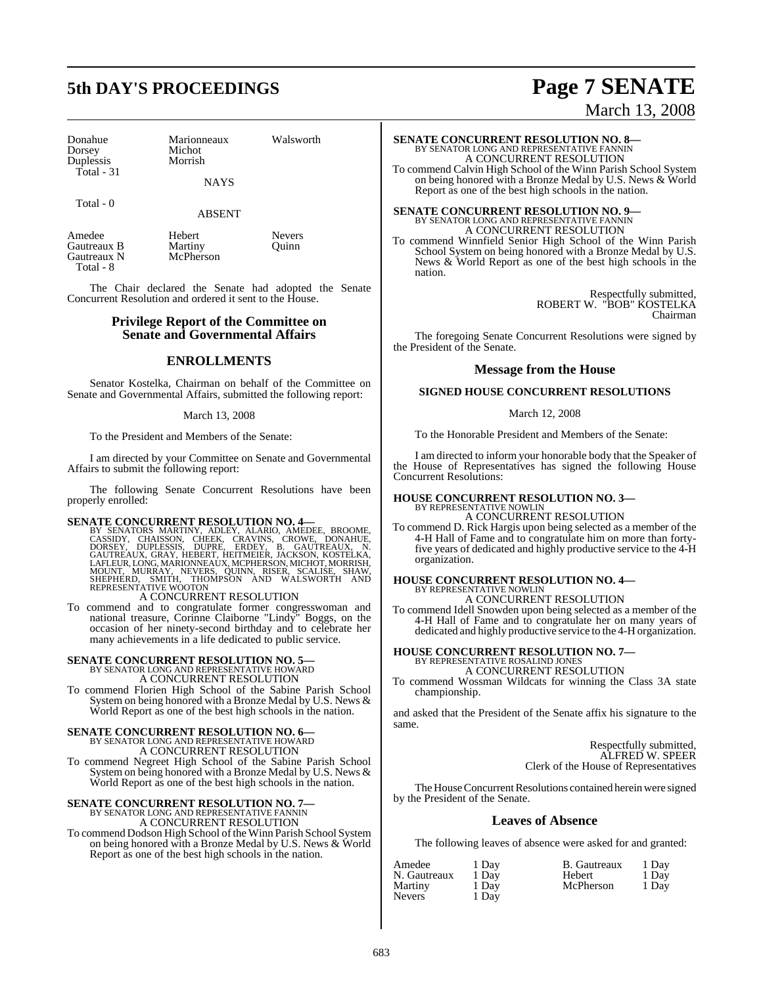# **5th DAY'S PROCEEDINGS Page 7 SENATE**

| Donahue    |  |
|------------|--|
| Dorsey     |  |
| Duplessis  |  |
| Total - 31 |  |

Michot Morrish

Marionneaux Walsworth

**NAYS** 

Total - 0

#### ABSENT

Amedee Hebert Nevers<br>
Gautreaux B Martiny Quinn Gautreaux B Martiny<br>
Gautreaux N McPherson Gautreaux N Total - 8

The Chair declared the Senate had adopted the Senate Concurrent Resolution and ordered it sent to the House.

#### **Privilege Report of the Committee on Senate and Governmental Affairs**

### **ENROLLMENTS**

Senator Kostelka, Chairman on behalf of the Committee on Senate and Governmental Affairs, submitted the following report:

#### March 13, 2008

To the President and Members of the Senate:

I am directed by your Committee on Senate and Governmental Affairs to submit the following report:

The following Senate Concurrent Resolutions have been properly enrolled:

#### **SENATE CONCURRENT RESOLUTION NO. 4—**

BY SENATORS MARTINY, ADLEY, ALARIO, AMEDEE, BROOME, CASSIDY, CHAISSON, CHEEK, CRAVINS, CROWE, DONAHUE,<br>CASSIDY, CHAISSON, CHEEK, CRAVINS, CROWE, DONAHUE,<br>DORSEY, DUPLESSIS, DUPRE, ERDEY, B. GAUTREAUX, N.<br>LAFLEUR,LONG,MARIO

A CONCURRENT RESOLUTION

To commend and to congratulate former congresswoman and national treasure, Corinne Claiborne "Lindy" Boggs, on the occasion of her ninety-second birthday and to celebrate her many achievements in a life dedicated to public service.

# **SENATE CONCURRENT RESOLUTION NO. 5—** BY SENATOR LONG AND REPRESENTATIVE HOWARD

A CONCURRENT RESOLUTION

To commend Florien High School of the Sabine Parish School System on being honored with a Bronze Medal by U.S. News & World Report as one of the best high schools in the nation.

## **SENATE CONCURRENT RESOLUTION NO. 6—** BY SENATOR LONG AND REPRESENTATIVE HOWARD A CONCURRENT RESOLUTION

To commend Negreet High School of the Sabine Parish School System on being honored with a Bronze Medal by U.S. News & World Report as one of the best high schools in the nation.

# **SENATE CONCURRENT RESOLUTION NO. 7—**<br>BY SENATOR LONG AND REPRESENTATIVE FANNIN<br>A CONCURRENT RESOLUTION

To commend Dodson High School oftheWinn Parish School System on being honored with a Bronze Medal by U.S. News & World Report as one of the best high schools in the nation.

March 13, 2008

**SENATE CONCURRENT RESOLUTION NO. 8—**<br>BY SENATOR LONG AND REPRESENTATIVE FANNIN<br>A CONCURRENT RESOLUTION To commend Calvin High School of the Winn Parish School System on being honored with a Bronze Medal by U.S. News & World Report as one of the best high schools in the nation.

# **SENATE CONCURRENT RESOLUTION NO. 9—**<br>BY SENATOR LONG AND REPRESENTATIVE FANNIN<br>A CONCURRENT RESOLUTION

To commend Winnfield Senior High School of the Winn Parish School System on being honored with a Bronze Medal by U.S. News & World Report as one of the best high schools in the nation.

> Respectfully submitted, ROBERT W. "BOB" KOSTELKA Chairman

The foregoing Senate Concurrent Resolutions were signed by the President of the Senate.

#### **Message from the House**

#### **SIGNED HOUSE CONCURRENT RESOLUTIONS**

March 12, 2008

To the Honorable President and Members of the Senate:

I am directed to inform your honorable body that the Speaker of the House of Representatives has signed the following House Concurrent Resolutions:

# **HOUSE CONCURRENT RESOLUTION NO. 3—**<br>BY REPRESENTATIVE NOWLIN<br>A CONCURRENT RESOLUTION

To commend D. Rick Hargis upon being selected as a member of the 4-H Hall of Fame and to congratulate him on more than fortyfive years of dedicated and highly productive service to the 4-H organization.

## **HOUSE CONCURRENT RESOLUTION NO. 4—** BY REPRESENTATIVE NOWLIN A CONCURRENT RESOLUTION

To commend Idell Snowden upon being selected as a member of the 4-H Hall of Fame and to congratulate her on many years of dedicated and highly productive service to the 4-H organization.

#### **HOUSE CONCURRENT RESOLUTION NO. 7—** BY REPRESENTATIVE ROSALIND JONES A CONCURRENT RESOLUTION

To commend Wossman Wildcats for winning the Class 3A state championship.

and asked that the President of the Senate affix his signature to the same.

> Respectfully submitted, ALFRED W. SPEER Clerk of the House of Representatives

The House Concurrent Resolutions contained herein were signed by the President of the Senate.

## **Leaves of Absence**

The following leaves of absence were asked for and granted:

| Amedee        | 1 Day | B. Gautreaux | 1 Day |
|---------------|-------|--------------|-------|
| N. Gautreaux  | 1 Day | Hebert       | 1 Dav |
| Martiny       | 1 Day | McPherson    | 1 Dav |
| <b>Nevers</b> | 1 Day |              |       |